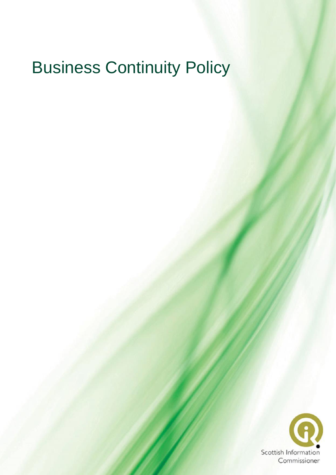# Business Continuity Policy

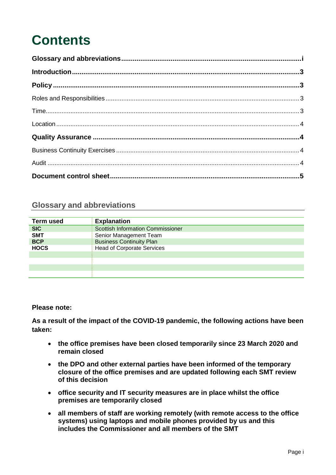# **Contents**

| Location 14 |  |  |  |  |
|-------------|--|--|--|--|
|             |  |  |  |  |
|             |  |  |  |  |
|             |  |  |  |  |
|             |  |  |  |  |

# <span id="page-1-0"></span>**Glossary and abbreviations**

| Term used   | <b>Explanation</b>                       |  |  |  |  |
|-------------|------------------------------------------|--|--|--|--|
| <b>SIC</b>  | <b>Scottish Information Commissioner</b> |  |  |  |  |
| <b>SMT</b>  | Senior Management Team                   |  |  |  |  |
| <b>BCP</b>  | <b>Business Continuity Plan</b>          |  |  |  |  |
| <b>HOCS</b> | <b>Head of Corporate Services</b>        |  |  |  |  |
|             |                                          |  |  |  |  |
|             |                                          |  |  |  |  |
|             |                                          |  |  |  |  |
|             |                                          |  |  |  |  |

#### **Please note:**

**As a result of the impact of the COVID-19 pandemic, the following actions have been taken:** 

- **the office premises have been closed temporarily since 23 March 2020 and remain closed**
- **the DPO and other external parties have been informed of the temporary closure of the office premises and are updated following each SMT review of this decision**
- **office security and IT security measures are in place whilst the office premises are temporarily closed**
- **all members of staff are working remotely (with remote access to the office systems) using laptops and mobile phones provided by us and this includes the Commissioner and all members of the SMT**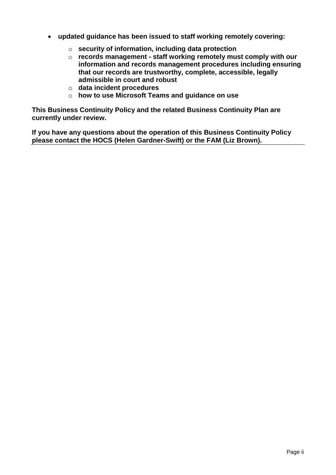- **updated guidance has been issued to staff working remotely covering:**
	- o **security of information, including data protection**
	- o **records management - staff working remotely must comply with our information and records management procedures including ensuring that our records are trustworthy, complete, accessible, legally admissible in court and robust**
	- o **data incident procedures**
	- o **how to use Microsoft Teams and guidance on use**

**This Business Continuity Policy and the related Business Continuity Plan are currently under review.**

**If you have any questions about the operation of this Business Continuity Policy please contact the HOCS (Helen Gardner-Swift) or the FAM (Liz Brown).**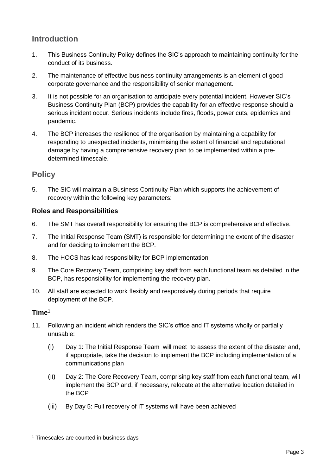## <span id="page-3-0"></span>**Introduction**

- 1. This Business Continuity Policy defines the SIC's approach to maintaining continuity for the conduct of its business.
- 2. The maintenance of effective business continuity arrangements is an element of good corporate governance and the responsibility of senior management.
- 3. It is not possible for an organisation to anticipate every potential incident. However SIC's Business Continuity Plan (BCP) provides the capability for an effective response should a serious incident occur. Serious incidents include fires, floods, power cuts, epidemics and pandemic.
- 4. The BCP increases the resilience of the organisation by maintaining a capability for responding to unexpected incidents, minimising the extent of financial and reputational damage by having a comprehensive recovery plan to be implemented within a predetermined timescale.

### <span id="page-3-1"></span>**Policy**

5. The SIC will maintain a Business Continuity Plan which supports the achievement of recovery within the following key parameters:

#### <span id="page-3-2"></span>**Roles and Responsibilities**

- 6. The SMT has overall responsibility for ensuring the BCP is comprehensive and effective.
- 7. The Initial Response Team (SMT) is responsible for determining the extent of the disaster and for deciding to implement the BCP.
- 8. The HOCS has lead responsibility for BCP implementation
- 9. The Core Recovery Team, comprising key staff from each functional team as detailed in the BCP, has responsibility for implementing the recovery plan.
- 10. All staff are expected to work flexibly and responsively during periods that require deployment of the BCP.

#### <span id="page-3-3"></span>**Time<sup>1</sup>**

-

- 11. Following an incident which renders the SIC's office and IT systems wholly or partially unusable:
	- (i) Day 1: The Initial Response Team will meet to assess the extent of the disaster and, if appropriate, take the decision to implement the BCP including implementation of a communications plan
	- (ii) Day 2: The Core Recovery Team, comprising key staff from each functional team, will implement the BCP and, if necessary, relocate at the alternative location detailed in the BCP
	- (iii) By Day 5: Full recovery of IT systems will have been achieved

<sup>&</sup>lt;sup>1</sup> Timescales are counted in business days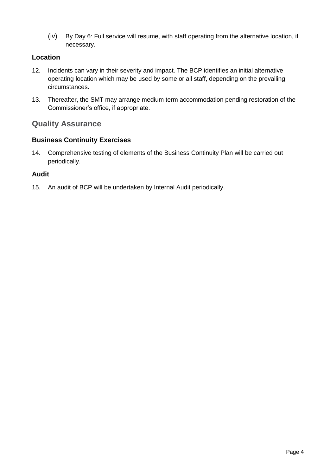(iv) By Day 6: Full service will resume, with staff operating from the alternative location, if necessary.

#### <span id="page-4-0"></span>**Location**

- 12. Incidents can vary in their severity and impact. The BCP identifies an initial alternative operating location which may be used by some or all staff, depending on the prevailing circumstances.
- 13. Thereafter, the SMT may arrange medium term accommodation pending restoration of the Commissioner's office, if appropriate.

# <span id="page-4-1"></span>**Quality Assurance**

#### <span id="page-4-2"></span>**Business Continuity Exercises**

14. Comprehensive testing of elements of the Business Continuity Plan will be carried out periodically.

#### <span id="page-4-3"></span>**Audit**

15. An audit of BCP will be undertaken by Internal Audit periodically.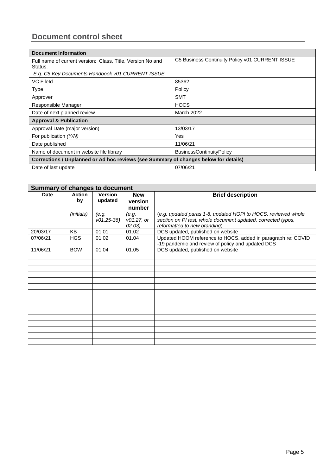# <span id="page-5-0"></span>**Document control sheet**

| <b>Document Information</b>                                                          |                                                 |  |  |  |  |
|--------------------------------------------------------------------------------------|-------------------------------------------------|--|--|--|--|
| Full name of current version: Class, Title, Version No and<br>Status.                | C5 Business Continuity Policy v01 CURRENT ISSUE |  |  |  |  |
| E.g. C5 Key Documents Handbook v01 CURRENT ISSUE                                     |                                                 |  |  |  |  |
| <b>VC Fileld</b>                                                                     | 85362                                           |  |  |  |  |
| Type                                                                                 | Policy                                          |  |  |  |  |
| Approver                                                                             | <b>SMT</b>                                      |  |  |  |  |
| Responsible Manager                                                                  | <b>HOCS</b>                                     |  |  |  |  |
| Date of next planned review                                                          | March 2022                                      |  |  |  |  |
| <b>Approval &amp; Publication</b>                                                    |                                                 |  |  |  |  |
| Approval Date (major version)                                                        | 13/03/17                                        |  |  |  |  |
| For publication (Y/N)                                                                | Yes                                             |  |  |  |  |
| Date published                                                                       | 11/06/21                                        |  |  |  |  |
| Name of document in website file library                                             | <b>BusinessContinuityPolicy</b>                 |  |  |  |  |
| Corrections / Unplanned or Ad hoc reviews (see Summary of changes below for details) |                                                 |  |  |  |  |
| Date of last update                                                                  | 07/06/21                                        |  |  |  |  |

| <b>Summary of changes to document</b> |                     |                           |                       |                                                                                                                   |  |  |
|---------------------------------------|---------------------|---------------------------|-----------------------|-------------------------------------------------------------------------------------------------------------------|--|--|
| Date                                  | <b>Action</b><br>by | <b>Version</b><br>updated | <b>New</b><br>version | <b>Brief description</b>                                                                                          |  |  |
|                                       |                     |                           | number                |                                                                                                                   |  |  |
|                                       | <i>(initials)</i>   | (e.g.                     | (e.g.                 | (e.g. updated paras 1-8, updated HOPI to HOCS, reviewed whole                                                     |  |  |
|                                       |                     | $v01.25-36$               | v01.27, or            | section on PI test, whole document updated, corrected typos,                                                      |  |  |
|                                       |                     |                           | 02.03)                | reformatted to new branding)                                                                                      |  |  |
| 20/03/17                              | <b>KB</b>           | 01.01                     | 01.02                 | DCS updated, published on website                                                                                 |  |  |
| 07/06/21                              | <b>HGS</b>          | 01.02                     | 01.04                 | Updated HOOM reference to HOCS, added in paragraph re: COVID<br>-19 pandemic and review of policy and updated DCS |  |  |
| 11/06/21                              | <b>BOW</b>          | 01.04                     | 01.05                 | DCS updated, published on website                                                                                 |  |  |
|                                       |                     |                           |                       |                                                                                                                   |  |  |
|                                       |                     |                           |                       |                                                                                                                   |  |  |
|                                       |                     |                           |                       |                                                                                                                   |  |  |
|                                       |                     |                           |                       |                                                                                                                   |  |  |
|                                       |                     |                           |                       |                                                                                                                   |  |  |
|                                       |                     |                           |                       |                                                                                                                   |  |  |
|                                       |                     |                           |                       |                                                                                                                   |  |  |
|                                       |                     |                           |                       |                                                                                                                   |  |  |
|                                       |                     |                           |                       |                                                                                                                   |  |  |
|                                       |                     |                           |                       |                                                                                                                   |  |  |
|                                       |                     |                           |                       |                                                                                                                   |  |  |
|                                       |                     |                           |                       |                                                                                                                   |  |  |
|                                       |                     |                           |                       |                                                                                                                   |  |  |
|                                       |                     |                           |                       |                                                                                                                   |  |  |
|                                       |                     |                           |                       |                                                                                                                   |  |  |